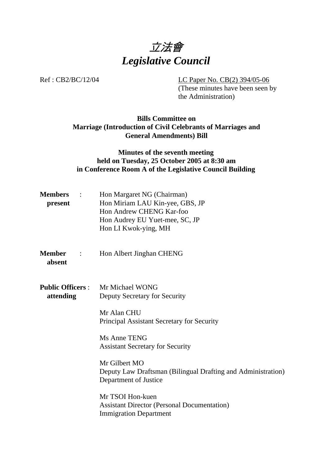

Ref : CB2/BC/12/04 LC Paper No. CB(2) 394/05-06

(These minutes have been seen by the Administration)

## **Bills Committee on Marriage (Introduction of Civil Celebrants of Marriages and General Amendments) Bill**

## **Minutes of the seventh meeting held on Tuesday, 25 October 2005 at 8:30 am in Conference Room A of the Legislative Council Building**

| <b>Members</b><br>$\sim$ 1.<br>present | Hon Margaret NG (Chairman)<br>Hon Miriam LAU Kin-yee, GBS, JP<br>Hon Andrew CHENG Kar-foo<br>Hon Audrey EU Yuet-mee, SC, JP<br>Hon LI Kwok-ying, MH |  |
|----------------------------------------|-----------------------------------------------------------------------------------------------------------------------------------------------------|--|
| <b>Member</b><br>$\sim$ 1.<br>absent   | Hon Albert Jinghan CHENG                                                                                                                            |  |
| <b>Public Officers :</b><br>attending  | Mr Michael WONG<br>Deputy Secretary for Security                                                                                                    |  |
|                                        | Mr Alan CHU<br>Principal Assistant Secretary for Security                                                                                           |  |
|                                        | Ms Anne TENG<br><b>Assistant Secretary for Security</b>                                                                                             |  |
|                                        | Mr Gilbert MO<br>Deputy Law Draftsman (Bilingual Drafting and Administration)<br>Department of Justice                                              |  |
|                                        | Mr TSOI Hon-kuen<br><b>Assistant Director (Personal Documentation)</b><br><b>Immigration Department</b>                                             |  |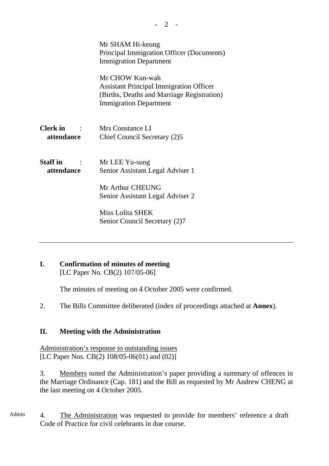|                                                                                                            | Mr SHAM Hi-keung<br>Principal Immigration Officer (Documents)<br><b>Immigration Department</b>                                                   |  |
|------------------------------------------------------------------------------------------------------------|--------------------------------------------------------------------------------------------------------------------------------------------------|--|
|                                                                                                            | Mr CHOW Kun-wah<br><b>Assistant Principal Immigration Officer</b><br>(Births, Deaths and Marriage Registration)<br><b>Immigration Department</b> |  |
| <b>Clerk</b> in<br>$\mathcal{L} = \{ \mathcal{L} \}$ , and $\mathcal{L} = \{ \mathcal{L} \}$<br>attendance | Mrs Constance LI<br>Chief Council Secretary (2)5                                                                                                 |  |
| <b>Staff</b> in<br>attendance                                                                              | Mr LEE Yu-sung<br>Senior Assistant Legal Adviser 1<br>Mr Arthur CHEUNG<br>Senior Assistant Legal Adviser 2                                       |  |
|                                                                                                            | Miss Lolita SHEK<br>Senior Council Secretary (2)7                                                                                                |  |

# **I. Confirmation of minutes of meeting**

[LC Paper No. CB(2) 107/05-06]

The minutes of meeting on 4 October 2005 were confirmed.

2. The Bills Committee deliberated (index of proceedings attached at **Annex**).

## **II. Meeting with the Administration**

Administration's response to outstanding issues [LC Paper Nos. CB(2) 108/05-06(01) and (02)]

3. Members noted the Administration's paper providing a summary of offences in the Marriage Ordinance (Cap. 181) and the Bill as requested by Mr Andrew CHENG at the last meeting on 4 October 2005.

Admin 4. The Administration was requested to provide for members' reference a draft Code of Practice for civil celebrants in due course.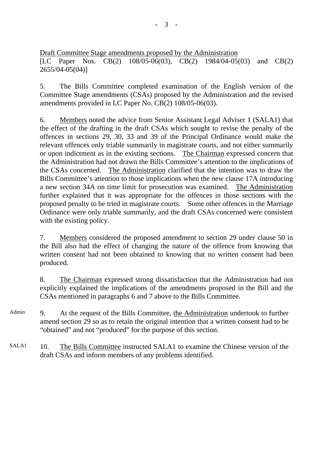Draft Committee Stage amendments proposed by the Administration [LC Paper Nos. CB(2) 108/05-06(03), CB(2) 1984/04-05(03) and CB(2) 2655/04-05(04)]

5. The Bills Committee completed examination of the English version of the Committee Stage amendments (CSAs) proposed by the Administration and the revised amendments provided in LC Paper No. CB(2) 108/05-06(03).

6. Members noted the advice from Senior Assistant Legal Adviser 1 (SALA1) that the effect of the drafting in the draft CSAs which sought to revise the penalty of the offences in sections 29, 30, 33 and 39 of the Principal Ordinance would make the relevant offences only triable summarily in magistrate courts, and not either summarily or upon indictment as in the existing sections. The Chairman expressed concern that the Administration had not drawn the Bills Committee's attention to the implications of the CSAs concerned. The Administration clarified that the intention was to draw the Bills Committee's attention to those implications when the new clause 17A introducing a new section 34A on time limit for prosecution was examined. The Administration further explained that it was appropriate for the offences in those sections with the proposed penalty to be tried in magistrate courts. Some other offences in the Marriage Ordinance were only triable summarily, and the draft CSAs concerned were consistent with the existing policy.

7. Members considered the proposed amendment to section 29 under clause 50 in the Bill also had the effect of changing the nature of the offence from knowing that written consent had not been obtained to knowing that no written consent had been produced.

8. The Chairman expressed strong dissatisfaction that the Administration had not explicitly explained the implications of the amendments proposed in the Bill and the CSAs mentioned in paragraphs 6 and 7 above to the Bills Committee.

- Admin 9. At the request of the Bills Committee, the Administration undertook to further amend section 29 so as to retain the original intention that a written consent had to be "obtained" and not "produced" for the purpose of this section.
- SALA1 10. The Bills Committee instructed SALA1 to examine the Chinese version of the draft CSAs and inform members of any problems identified.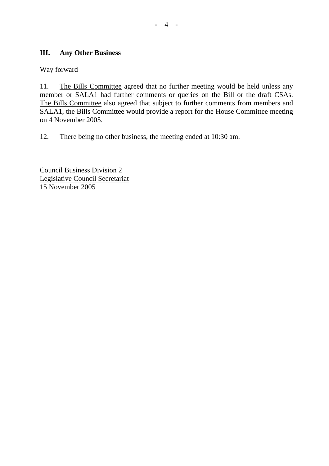## **III. Any Other Business**

## Way forward

11. The Bills Committee agreed that no further meeting would be held unless any member or SALA1 had further comments or queries on the Bill or the draft CSAs. The Bills Committee also agreed that subject to further comments from members and SALA1, the Bills Committee would provide a report for the House Committee meeting on 4 November 2005.

12. There being no other business, the meeting ended at 10:30 am.

Council Business Division 2 Legislative Council Secretariat 15 November 2005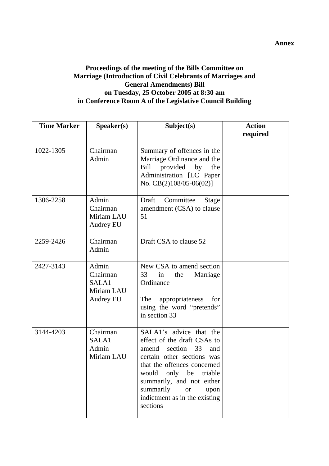## **Proceedings of the meeting of the Bills Committee on Marriage (Introduction of Civil Celebrants of Marriages and General Amendments) Bill on Tuesday, 25 October 2005 at 8:30 am in Conference Room A of the Legislative Council Building**

| <b>Time Marker</b> | Speaker(s)                                                   | Subject(s)                                                                                                                                                                                                                                                                                      | <b>Action</b><br>required |
|--------------------|--------------------------------------------------------------|-------------------------------------------------------------------------------------------------------------------------------------------------------------------------------------------------------------------------------------------------------------------------------------------------|---------------------------|
| 1022-1305          | Chairman<br>Admin                                            | Summary of offences in the<br>Marriage Ordinance and the<br>Bill<br>provided by<br>the<br>Administration [LC Paper<br>No. $CB(2)108/05-06(02)$                                                                                                                                                  |                           |
| 1306-2258          | Admin<br>Chairman<br>Miriam LAU<br><b>Audrey EU</b>          | Committee<br>Draft<br>Stage<br>amendment (CSA) to clause<br>51                                                                                                                                                                                                                                  |                           |
| 2259-2426          | Chairman<br>Admin                                            | Draft CSA to clause 52                                                                                                                                                                                                                                                                          |                           |
| 2427-3143          | Admin<br>Chairman<br>SALA1<br>Miriam LAU<br><b>Audrey EU</b> | New CSA to amend section<br>Marriage<br>33<br>in<br>the<br>Ordinance<br>The<br>appropriateness<br>for<br>using the word "pretends"<br>in section 33                                                                                                                                             |                           |
| 3144-4203          | Chairman<br>SALA1<br>Admin<br>Miriam LAU                     | SALA1's advice that the<br>effect of the draft CSAs to<br>33<br>amend<br>section<br>and<br>certain other sections was<br>that the offences concerned<br>only be<br>would<br>triable<br>summarily, and not either<br>summarily<br>upon<br><b>or</b><br>indictment as in the existing<br>sections |                           |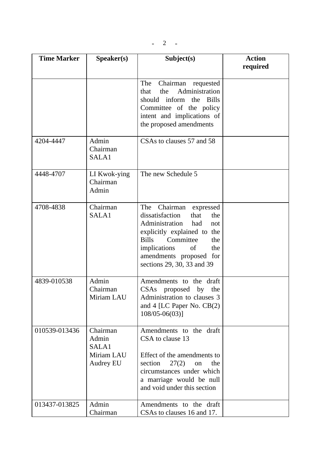| <b>Time Marker</b> | Speaker(s)                                            | Subject(s)                                                                                                                                                                                                                                              | <b>Action</b><br>required |
|--------------------|-------------------------------------------------------|---------------------------------------------------------------------------------------------------------------------------------------------------------------------------------------------------------------------------------------------------------|---------------------------|
|                    |                                                       | Chairman requested<br><b>The</b><br>Administration<br>the<br>that<br>should<br>inform<br>the<br><b>Bills</b><br>Committee of the policy<br>intent and implications of<br>the proposed amendments                                                        |                           |
| 4204-4447          | Admin<br>Chairman<br>SALA1                            | CSAs to clauses 57 and 58                                                                                                                                                                                                                               |                           |
| 4448-4707          | LI Kwok-ying<br>Chairman<br>Admin                     | The new Schedule 5                                                                                                                                                                                                                                      |                           |
| 4708-4838          | Chairman<br>SALA1                                     | Chairman<br>The<br>expressed<br>dissatisfaction<br>that<br>the<br>Administration<br>had<br>not<br>explicitly explained to the<br><b>Bills</b><br>Committee<br>the<br>implications<br>of<br>the<br>amendments proposed for<br>sections 29, 30, 33 and 39 |                           |
| 4839-010538        | Admin<br>Chairman<br>Miriam LAU                       | Amendments to the draft<br>CSAs proposed by the<br>Administration to clauses 3<br>and 4 [LC Paper No. $CB(2)$ ]<br>$108/05 - 06(03)$ ]                                                                                                                  |                           |
| 010539-013436      | Chairman<br>Admin<br>SALA1<br>Miriam LAU<br>Audrey EU | Amendments to the draft<br>CSA to clause 13<br>Effect of the amendments to<br>27(2)<br>section<br>the<br>on<br>circumstances under which<br>a marriage would be null<br>and void under this section                                                     |                           |
| 013437-013825      | Admin<br>Chairman                                     | Amendments to the draft<br>CSAs to clauses 16 and 17.                                                                                                                                                                                                   |                           |